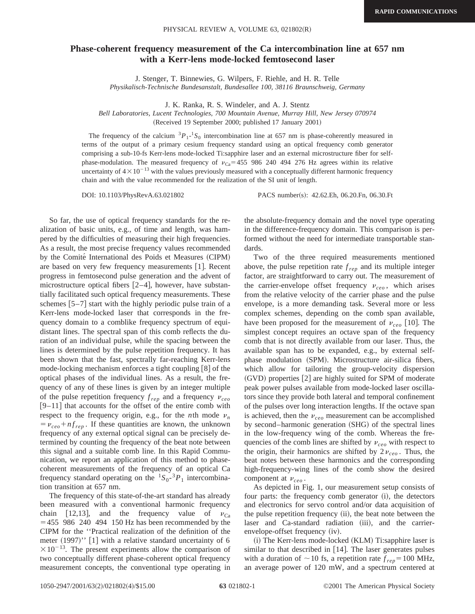## **Phase-coherent frequency measurement of the Ca intercombination line at 657 nm with a Kerr-lens mode-locked femtosecond laser**

J. Stenger, T. Binnewies, G. Wilpers, F. Riehle, and H. R. Telle

*Physikalisch-Technische Bundesanstalt, Bundesallee 100, 38116 Braunschweig, Germany*

J. K. Ranka, R. S. Windeler, and A. J. Stentz

*Bell Laboratories, Lucent Technologies, 700 Mountain Avenue, Murray Hill, New Jersey 070974*

(Received 19 September 2000; published 17 January 2001)

The frequency of the calcium  ${}^{3}P_{1}$ - ${}^{1}S_{0}$  intercombination line at 657 nm is phase-coherently measured in terms of the output of a primary cesium frequency standard using an optical frequency comb generator comprising a sub-10-fs Kerr-lens mode-locked Ti:sapphire laser and an external microstructure fiber for selfphase-modulation. The measured frequency of  $v_{\text{Ca}} = 455986240494276$  Hz agrees within its relative uncertainty of  $4\times10^{-13}$  with the values previously measured with a conceptually different harmonic frequency chain and with the value recommended for the realization of the SI unit of length.

So far, the use of optical frequency standards for the realization of basic units, e.g., of time and length, was hampered by the difficulties of measuring their high frequencies. As a result, the most precise frequency values recommended by the Comité International des Poids et Measures (CIPM) are based on very few frequency measurements [1]. Recent progress in femtosecond pulse generation and the advent of microstructure optical fibers  $[2-4]$ , however, have substantially facilitated such optical frequency measurements. These schemes  $|5-7|$  start with the highly periodic pulse train of a Kerr-lens mode-locked laser that corresponds in the frequency domain to a comblike frequency spectrum of equidistant lines. The spectral span of this comb reflects the duration of an individual pulse, while the spacing between the lines is determined by the pulse repetition frequency. It has been shown that the fast, spectrally far-reaching Kerr-lens mode-locking mechanism enforces a tight coupling  $[8]$  of the optical phases of the individual lines. As a result, the frequency of any of these lines is given by an integer multiple of the pulse repetition frequency  $f_{rep}$  and a frequency  $v_{ceo}$  $|9-11|$  that accounts for the offset of the entire comb with respect to the frequency origin, e.g., for the *n*th mode  $\nu_n$  $= v_{ceo} + nf_{rep}$ . If these quantities are known, the unknown frequency of any external optical signal can be precisely determined by counting the frequency of the beat note between this signal and a suitable comb line. In this Rapid Communication, we report an application of this method to phasecoherent measurements of the frequency of an optical Ca frequency standard operating on the  ${}^{1}S_{0}$ <sup>-3</sup> $P_{1}$  intercombination transition at 657 nm.

The frequency of this state-of-the-art standard has already been measured with a conventional harmonic frequency chain [12,13], and the frequency value of  $v_{C_2}$  $=455$  986 240 494 150 Hz has been recommended by the CIPM for the ''Practical realization of the definition of the meter  $(1997)$ " [1] with a relative standard uncertainty of 6  $\times 10^{-13}$ . The present experiments allow the comparison of two conceptually different phase-coherent optical frequency measurement concepts, the conventional type operating in

DOI: 10.1103/PhysRevA.63.021802 PACS number(s): 42.62.Eh, 06.20.Fn, 06.30.Ft

the absolute-frequency domain and the novel type operating in the difference-frequency domain. This comparison is performed without the need for intermediate transportable standards.

Two of the three required measurements mentioned above, the pulse repetition rate  $f_{rep}$  and its multiple integer factor, are straightforward to carry out. The measurement of the carrier-envelope offset frequency  $v_{ceo}$ , which arises from the relative velocity of the carrier phase and the pulse envelope, is a more demanding task. Several more or less complex schemes, depending on the comb span available, have been proposed for the measurement of  $v_{ceo}$  [10]. The simplest concept requires an octave span of the frequency comb that is not directly available from our laser. Thus, the available span has to be expanded, e.g., by external selfphase modulation (SPM). Microstructure air-silica fibers, which allow for tailoring the group-velocity dispersion  $(GVD)$  properties  $[2]$  are highly suited for SPM of moderate peak power pulses available from mode-locked laser oscillators since they provide both lateral and temporal confinement of the pulses over long interaction lengths. If the octave span is achieved, then the  $v_{ceo}$  measurement can be accomplished by second–harmonic generation (SHG) of the spectral lines in the low-frequency wing of the comb. Whereas the frequencies of the comb lines are shifted by  $v_{ceo}$  with respect to the origin, their harmonics are shifted by  $2v_{ceo}$ . Thus, the beat notes between these harmonics and the corresponding high-frequency-wing lines of the comb show the desired component at  $v_{ceo}$ .

As depicted in Fig. 1, our measurement setup consists of four parts: the frequency comb generator (i), the detectors and electronics for servo control and/or data acquisition of the pulse repetition frequency (ii), the beat note between the laser and Ca-standard radiation (iii), and the carrierenvelope-offset frequency (iv).

(i) The Kerr-lens mode-locked (KLM) Ti:sapphire laser is similar to that described in  $[14]$ . The laser generates pulses with a duration of  $\sim$  10 fs, a repetition rate  $f_{rep}$ = 100 MHz, an average power of 120 mW, and a spectrum centered at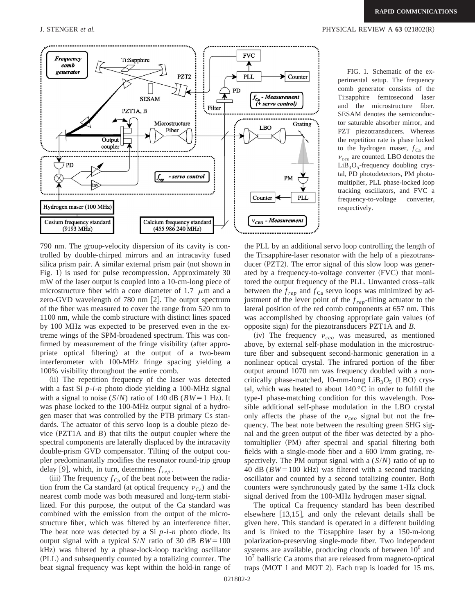

FIG. 1. Schematic of the experimental setup. The frequency comb generator consists of the Ti:sapphire femtosecond laser and the microstructure fiber. SESAM denotes the semiconductor saturable absorber mirror, and PZT piezotransducers. Whereas the repetition rate is phase locked to the hydrogen maser,  $f_{Ca}$  and  $v_{ceo}$  are counted. LBO denotes the  $LiB<sub>3</sub>O<sub>5</sub>$ -frequency doubling crystal, PD photodetectors, PM photomultiplier, PLL phase-locked loop tracking oscillators, and FVC a frequency-to-voltage converter, respectively.

790 nm. The group-velocity dispersion of its cavity is controlled by double-chirped mirrors and an intracavity fused silica prism pair. A similar external prism pair (not shown in Fig. 1) is used for pulse recompression. Approximately 30 mW of the laser output is coupled into a 10-cm-long piece of microstructure fiber with a core diameter of 1.7  $\mu$ m and a zero-GVD wavelength of  $780 \text{ nm}$  [2]. The output spectrum of the fiber was measured to cover the range from 520 nm to 1100 nm, while the comb structure with distinct lines spaced by 100 MHz was expected to be preserved even in the extreme wings of the SPM-broadened spectrum. This was confirmed by measurement of the fringe visibility (after appropriate optical filtering) at the output of a two-beam interferometer with 100-MHz fringe spacing yielding a 100% visibility throughout the entire comb.

(ii) The repetition frequency of the laser was detected with a fast Si *p*-*i*-*n* photo diode yielding a 100-MHz signal with a signal to noise  $(S/N)$  ratio of 140 dB ( $BW=1$  Hz). It was phase locked to the 100-MHz output signal of a hydrogen maser that was controlled by the PTB primary Cs standards. The actuator of this servo loop is a double piezo device  $(PZT1A$  and *B*) that tilts the output coupler where the spectral components are laterally displaced by the intracavity double-prism GVD compensator. Tilting of the output coupler predominantally modifies the resonator round-trip group delay [9], which, in turn, determines  $f_{rep}$ .

(iii) The frequency  $f_{Ca}$  of the beat note between the radiation from the Ca standard (at optical frequency  $v_{\rm Ca}$ ) and the nearest comb mode was both measured and long-term stabilized. For this purpose, the output of the Ca standard was combined with the emission from the output of the microstructure fiber, which was filtered by an interference filter. The beat note was detected by a Si *p*-*i*-*n* photo diode. Its output signal with a typical  $S/N$  ratio of 30 dB  $BW=100$ kHz) was filtered by a phase-lock-loop tracking oscillator (PLL) and subsequently counted by a totalizing counter. The beat signal frequency was kept within the hold-in range of the PLL by an additional servo loop controlling the length of the Ti:sapphire-laser resonator with the help of a piezotransducer (PZT2). The error signal of this slow loop was generated by a frequency-to-voltage converter  $(FVC)$  that monitored the output frequency of the PLL. Unwanted cross–talk between the  $f_{rep}$  and  $f_{Ca}$  servo loops was minimized by adjustment of the lever point of the *f rep*-tilting actuator to the lateral position of the red comb components at 657 nm. This was accomplished by choosing appropriate gain values (of opposite sign! for the piezotransducers PZT1A and *B*.

 $(iv)$  The frequency  $v_{ceo}$  was measured, as mentioned above, by external self-phase modulation in the microstructure fiber and subsequent second-harmonic generation in a nonlinear optical crystal. The infrared portion of the fiber output around 1070 nm was frequency doubled with a noncritically phase-matched, 10-mm-long  $LiB_3O_5$  (LBO) crystal, which was heated to about  $140\degree$ C in order to fulfill the type-I phase-matching condition for this wavelength. Possible additional self-phase modulation in the LBO crystal only affects the phase of the  $v_{ceo}$  signal but not the frequency. The beat note between the resulting green SHG signal and the green output of the fiber was detected by a photomultiplier (PM) after spectral and spatial filtering both fields with a single-mode fiber and a 600 l/mm grating, respectively. The PM output signal with a (*S*/*N*) ratio of up to 40 dB  $(BW=100 \text{ kHz})$  was filtered with a second tracking oscillator and counted by a second totalizing counter. Both counters were synchronously gated by the same 1-Hz clock signal derived from the 100-MHz hydrogen maser signal.

The optical Ca frequency standard has been described elsewhere  $[13,15]$ , and only the relevant details shall be given here. This standard is operated in a different building and is linked to the Ti:sapphire laser by a 150-m-long polarization-preserving single-mode fiber. Two independent systems are available, producing clouds of between  $10<sup>6</sup>$  and  $10<sup>7</sup>$  ballistic Ca atoms that are released from magneto-optical traps  $(MOT 1$  and  $MOT 2$ ). Each trap is loaded for 15 ms.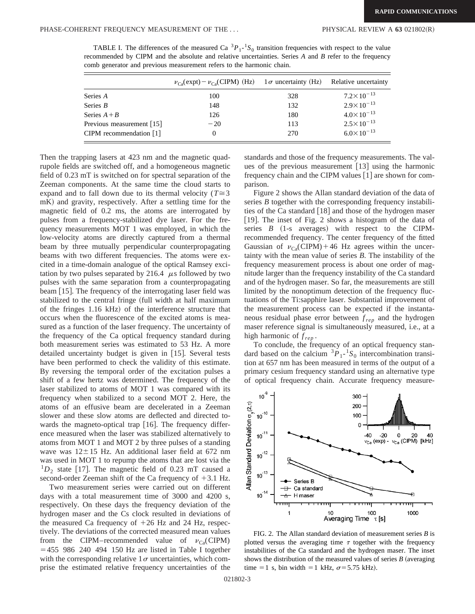TABLE I. The differences of the measured Ca  ${}^{3}P_{1}$ -<sup>1</sup> $S_0$  transition frequencies with respect to the value recommended by CIPM and the absolute and relative uncertainties. Series *A* and *B* refer to the frequency comb generator and previous measurement refers to the harmonic chain.

|                                         | $\nu_{\text{Ca}}(\text{expt}) - \nu_{\text{Ca}}(\text{CIPM})$ (Hz) 1 $\sigma$ uncertainty (Hz) Relative uncertainty |     |                       |
|-----------------------------------------|---------------------------------------------------------------------------------------------------------------------|-----|-----------------------|
| Series A                                | 100                                                                                                                 | 328 | $7.2 \times 10^{-13}$ |
| Series $B$                              | 148                                                                                                                 | 132 | $2.9 \times 10^{-13}$ |
| Series $A + B$                          | 126                                                                                                                 | 180 | $4.0 \times 10^{-13}$ |
| Previous measurement $\lceil 15 \rceil$ | $-20$                                                                                                               | 113 | $2.5 \times 10^{-13}$ |
| CIPM recommendation $\lceil 1 \rceil$   | $\theta$                                                                                                            | 270 | $6.0 \times 10^{-13}$ |

Then the trapping lasers at 423 nm and the magnetic quadrupole fields are switched off, and a homogeneous magnetic field of 0.23 mT is switched on for spectral separation of the Zeeman components. At the same time the cloud starts to expand and to fall down due to its thermal velocity ( $T \approx 3$ ) mK) and gravity, respectively. After a settling time for the magnetic field of 0.2 ms, the atoms are interrogated by pulses from a frequency-stabilized dye laser. For the frequency measurements MOT 1 was employed, in which the low-velocity atoms are directly captured from a thermal beam by three mutually perpendicular counterpropagating beams with two different frequencies. The atoms were excited in a time-domain analogue of the optical Ramsey excitation by two pulses separated by 216.4  $\mu$ s followed by two pulses with the same separation from a counterpropagating beam  $[15]$ . The frequency of the interrogating laser field was stabilized to the central fringe (full width at half maximum of the fringes 1.16 kHz) of the interference structure that occurs when the fluorescence of the excited atoms is measured as a function of the laser frequency. The uncertainty of the frequency of the Ca optical frequency standard during both measurement series was estimated to 53 Hz. A more detailed uncertainty budget is given in  $[15]$ . Several tests have been performed to check the validity of this estimate. By reversing the temporal order of the excitation pulses a shift of a few hertz was determined. The frequency of the laser stabilized to atoms of MOT 1 was compared with its frequency when stabilized to a second MOT 2. Here, the atoms of an effusive beam are decelerated in a Zeeman slower and these slow atoms are deflected and directed towards the magneto-optical trap  $[16]$ . The frequency difference measured when the laser was stabilized alternatively to atoms from MOT 1 and MOT 2 by three pulses of a standing wave was  $12 \pm 15$  Hz. An additional laser field at 672 nm was used in MOT 1 to repump the atoms that are lost via the  $1D_2$  state [17]. The magnetic field of 0.23 mT caused a second-order Zeeman shift of the Ca frequency of  $+3.1$  Hz.

Two measurement series were carried out on different days with a total measurement time of 3000 and 4200 s, respectively. On these days the frequency deviation of the hydrogen maser and the Cs clock resulted in deviations of the measured Ca frequency of  $+26$  Hz and 24 Hz, respectively. The deviations of the corrected measured mean values from the CIPM–recommended value of  $v_{Ca}$ (CIPM)  $=455$  986 240 494 150 Hz are listed in Table I together with the corresponding relative  $1\sigma$  uncertainties, which comprise the estimated relative frequency uncertainties of the standards and those of the frequency measurements. The values of the previous measurement  $[13]$  using the harmonic frequency chain and the CIPM values  $[1]$  are shown for comparison.

Figure 2 shows the Allan standard deviation of the data of series *B* together with the corresponding frequency instabilities of the Ca standard  $\lceil 18 \rceil$  and those of the hydrogen maser [19]. The inset of Fig. 2 shows a histogram of the data of series  $B$   $(1-s$  averages) with respect to the CIPMrecommended frequency. The center frequency of the fitted Gaussian of  $v_{\rm Ca}(CIPM) + 46$  Hz agrees within the uncertainty with the mean value of series *B*. The instability of the frequency measurement process is about one order of magnitude larger than the frequency instability of the Ca standard and of the hydrogen maser. So far, the measurements are still limited by the nonoptimum detection of the frequency fluctuations of the Ti:sapphire laser. Substantial improvement of the measurement process can be expected if the instantaneous residual phase error between *f rep* and the hydrogen maser reference signal is simultaneously measured, i.e., at a high harmonic of *f rep* .

To conclude, the frequency of an optical frequency standard based on the calcium  ${}^{3}P_{1}$ - ${}^{1}S_{0}$  intercombination transition at 657 nm has been measured in terms of the output of a primary cesium frequency standard using an alternative type of optical frequency chain. Accurate frequency measure-



FIG. 2. The Allan standard deviation of measurement series *B* is plotted versus the averaging time  $\tau$  together with the frequency instabilities of the Ca standard and the hydrogen maser. The inset shows the distribution of the measured values of series  $B$  (averaging time = 1 s, bin width = 1 kHz,  $\sigma$ = 5.75 kHz).